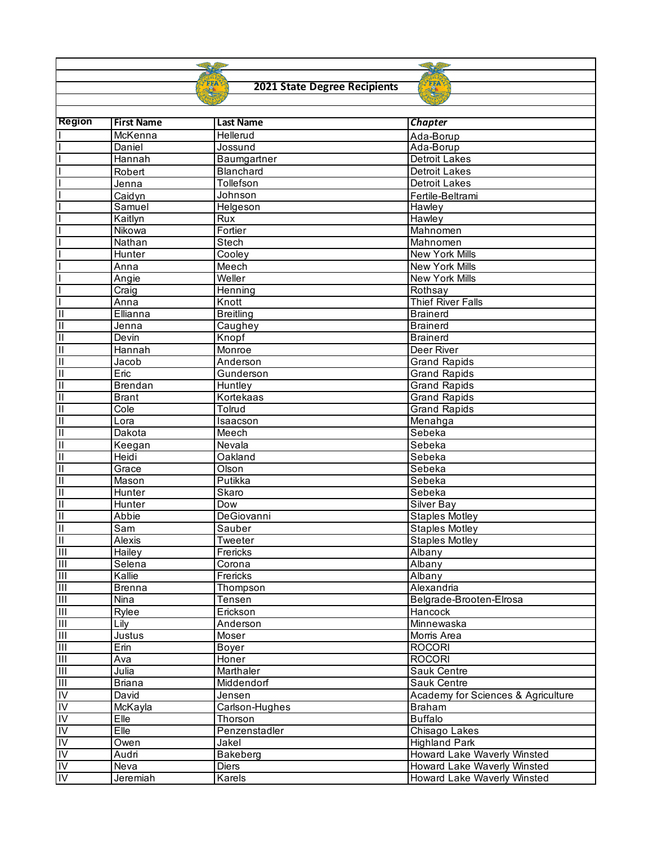## **2021 State Degree Recipients**

ST FFA

FFA

| <b>Region</b>             | <b>First Name</b> | <b>Last Name</b> | <b>Chapter</b>                     |
|---------------------------|-------------------|------------------|------------------------------------|
|                           | McKenna           | Hellerud         | Ada-Borup                          |
|                           | Daniel            | Jossund          | Ada-Borup                          |
|                           | Hannah            | Baumgartner      | <b>Detroit Lakes</b>               |
|                           | Robert            | Blanchard        | <b>Detroit Lakes</b>               |
|                           | Jenna             | Tollefson        | <b>Detroit Lakes</b>               |
|                           | Caidyn            | Johnson          | Fertile-Beltrami                   |
|                           | Samuel            | Helgeson         | Hawley                             |
|                           | Kaitlyn           | Rux              | Hawley                             |
|                           | Nikowa            | Fortier          | Mahnomen                           |
|                           | Nathan            | Stech            | Mahnomen                           |
|                           | Hunter            | Cooley           | New York Mills                     |
|                           | Anna              | Meech            | New York Mills                     |
|                           | Angie             | Weller           | New York Mills                     |
|                           | Craig             | Henning          | Rothsay                            |
|                           | Anna              | Knott            | <b>Thief River Falls</b>           |
| $\overline{\mathsf{II}}$  | Ellianna          | <b>Breitling</b> | <b>Brainerd</b>                    |
| Ξ                         | Jenna             | Caughey          | <b>Brainerd</b>                    |
| $\overline{\mathsf{I}}$   | Devin             | Knopf            | <b>Brainerd</b>                    |
| $\overline{\mathsf{I}}$   | Hannah            | Monroe           | Deer River                         |
| Π                         | Jacob             | Anderson         | <b>Grand Rapids</b>                |
| $\mathbf{II}$             | Eric              | Gunderson        | <b>Grand Rapids</b>                |
| Π                         | <b>Brendan</b>    | Huntley          | <b>Grand Rapids</b>                |
| Π                         | <b>Brant</b>      | Kortekaas        | <b>Grand Rapids</b>                |
| $\overline{\mathsf{I}}$   | Cole              | Tolrud           | <b>Grand Rapids</b>                |
| $\overline{\mathsf{I}}$   | Lora              | Isaacson         | Menahga                            |
| $\overline{\mathsf{I}}$   | Dakota            | Meech            | Sebeka                             |
| $\overline{\mathsf{I}}$   | Keegan            | Nevala           | Sebeka                             |
| Ξ                         | Heidi             | Oakland          | Sebeka                             |
| Ξ                         | Grace             | Olson            | Sebeka                             |
| $\overline{\mathsf{II}}$  | Mason             | Putikka          | Sebeka                             |
| $\overline{\mathsf{I}}$   | Hunter            | Skaro            | Sebeka                             |
| Π                         | Hunter            | Dow              | Silver Bay                         |
| $\overline{\mathsf{I}}$   | Abbie             | DeGiovanni       | <b>Staples Motley</b>              |
| $\overline{\mathsf{I}}$   | Sam               | Sauber           | <b>Staples Motley</b>              |
| $\overline{\mathsf{I}}$   | Alexis            | Tweeter          | <b>Staples Motley</b>              |
| $\overline{\mathsf{H}}$   | Hailey            | Frericks         | Albany                             |
| Ш                         | Selena            | Corona           | Albany                             |
| $\overline{\mathsf{III}}$ | Kallie            | Frericks         | Albany                             |
| $\overline{\mathbb{H}}$   | <b>Brenna</b>     | Thompson         | Alexandria                         |
| Ш                         | Nina              | Tensen           | Belgrade-Brooten-Elrosa            |
| $\overline{\mathbb{H}}$   | Rylee             | Erickson         | Hancock                            |
| Ш                         | Lily              | Anderson         | Minnewaska                         |
| $\mathbf{III}$            | Justus            | Moser            | Morris Area                        |
| $\mathbf{III}$            | Erin              | Boyer            | <b>ROCORI</b>                      |
| $\mathbf{III}$            | Ava               | Honer            | <b>ROCORI</b>                      |
| $\mathbf{III}$            | Julia             | Marthaler        | Sauk Centre                        |
| $\overline{\mathbb{H}}$   | <b>Briana</b>     | Middendorf       | Sauk Centre                        |
| IV                        | David             | Jensen           | Academy for Sciences & Agriculture |
| <b>IV</b>                 | McKayla           | Carlson-Hughes   | <b>Braham</b>                      |
| IV                        | Elle              | Thorson          | <b>Buffalo</b>                     |
| IV                        | Elle              | Penzenstadler    | Chisago Lakes                      |
| IV                        | Owen              | Jakel            | <b>Highland Park</b>               |
| IV                        | Audri             | Bakeberg         | Howard Lake Waverly Winsted        |
| IV                        | Neva              | Diers            | Howard Lake Waverly Winsted        |
| IV                        | Jeremiah          | Karels           | Howard Lake Waverly Winsted        |
|                           |                   |                  |                                    |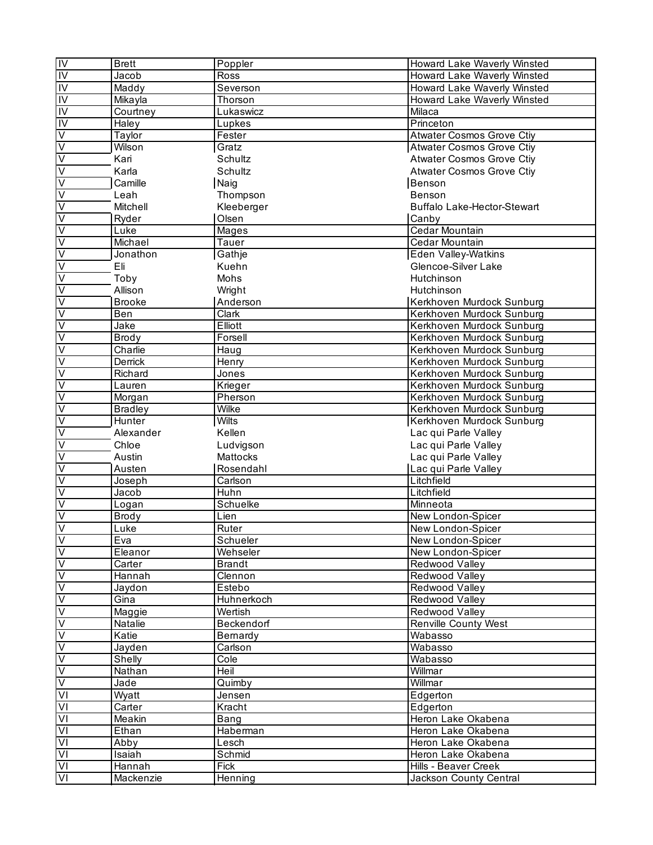| $\frac{1}{10}$                | <b>Brett</b>   | Poppler       | Howard Lake Waverly Winsted        |
|-------------------------------|----------------|---------------|------------------------------------|
|                               | Jacob          | Ross          | Howard Lake Waverly Winsted        |
| IV                            | Maddy          | Severson      | Howard Lake Waverly Winsted        |
| $\overline{IV}$               | Mikayla        | Thorson       | Howard Lake Waverly Winsted        |
| IV                            | Courtney       | Lukaswicz     | Milaca                             |
| IV                            | Haley          | Lupkes        | Princeton                          |
|                               | Taylor         | Fester        | <b>Atwater Cosmos Grove Ctiv</b>   |
| $>$ $>$                       | Wilson         | Gratz         | <b>Atwater Cosmos Grove Ctiy</b>   |
|                               | Kari           |               | <b>Atwater Cosmos Grove Ctiy</b>   |
| $\dot{\overline{\mathsf{v}}}$ |                | Schultz       | <b>Atwater Cosmos Grove Ctiy</b>   |
|                               | Karla          | Schultz       |                                    |
| $\overline{\mathsf{V}}$       | Camille        | Naig          | Benson                             |
| >                             | Leah           | Thompson      | Benson                             |
|                               | Mitchell       | Kleeberger    | <b>Buffalo Lake-Hector-Stewart</b> |
| $\leq$                        | Ryder          | Olsen         | Canby                              |
|                               | Luke           | Mages         | Cedar Mountain                     |
| $\overline{\mathsf{v}}$       | Michael        | Tauer         | Cedar Mountain                     |
| $\overline{\mathsf{V}}$       | Jonathon       | Gathje        | <b>Eden Valley-Watkins</b>         |
| $\overline{\mathsf{V}}$       | Eli            | Kuehn         | Glencoe-Silver Lake                |
| $\overline{\mathsf{V}}$       | Toby           | Mohs          | Hutchinson                         |
| $\overline{\mathsf{V}}$       | Allison        | Wright        | Hutchinson                         |
| $\dot{\overline{\mathsf{v}}}$ | <b>Brooke</b>  | Anderson      | Kerkhoven Murdock Sunburg          |
|                               | Ben            | <b>Clark</b>  | Kerkhoven Murdock Sunburg          |
| $\frac{1}{2}$                 | Jake           | Elliott       | Kerkhoven Murdock Sunburg          |
| $\overline{\mathsf{V}}$       | <b>Brody</b>   | Forsell       | Kerkhoven Murdock Sunburg          |
| $\overline{\mathsf{V}}$       | Charlie        | Haug          | Kerkhoven Murdock Sunburg          |
| $\overline{\mathsf{V}}$       | Derrick        | Henry         | Kerkhoven Murdock Sunburg          |
| $\overline{\mathsf{V}}$       | Richard        | Jones         | Kerkhoven Murdock Sunburg          |
|                               | Lauren         | Krieger       | Kerkhoven Murdock Sunburg          |
| $\ge$                         |                |               |                                    |
| $\overline{\mathsf{V}}$       | Morgan         | Pherson       | Kerkhoven Murdock Sunburg          |
| $\overline{\mathsf{V}}$       | <b>Bradley</b> | Wilke         | Kerkhoven Murdock Sunburg          |
|                               | Hunter         | <b>Wilts</b>  | Kerkhoven Murdock Sunburg          |
| $\overline{\mathsf{V}}$       | Alexander      | Kellen        | Lac qui Parle Valley               |
| $\overline{\mathsf{V}}$       | Chloe          | Ludvigson     | Lac qui Parle Valley               |
| $\overline{\mathsf{V}}$       | Austin         | Mattocks      | Lac qui Parle Valley               |
| $\overline{\mathsf{V}}$       | Austen         | Rosendahl     | Lac qui Parle Valley               |
| $\overline{\mathsf{V}}$       | Joseph         | Carlson       | Litchfield                         |
| $\dot{\nabla}$                | Jacob          | Huhn          | Litchfield                         |
| $\overline{\mathsf{V}}$       | Logan          | Schuelke      | Minneota                           |
| $\overline{\mathsf{V}}$       | Brody          | Lien          | New London-Spicer                  |
| $\frac{1}{2}$                 | Luke           | Ruter         | New London-Spicer                  |
|                               | Eva            | Schueler      | New London-Spicer                  |
|                               | Eleanor        | Wehseler      | New London-Spicer                  |
|                               | Carter         | <b>Brandt</b> | Redwood Valley                     |
| $>$ $>$                       | Hannah         | Clennon       | Redwood Valley                     |
|                               | Jaydon         | Estebo        | Redwood Valley                     |
| $\overline{\vee}$             | Gina           | Huhnerkoch    | Redwood Valley                     |
|                               | Maggie         | Wertish       | Redwood Valley                     |
|                               | Natalie        | Beckendorf    | <b>Renville County West</b>        |
|                               | Katie          | Bernardy      | Wabasso                            |
|                               | Jayden         | Carlson       | Wabasso                            |
| 시기> > > >                     | Shelly         | Cole          | Wabasso                            |
|                               | Nathan         | Heil          | Willmar                            |
| $\overline{\mathsf{V}}$       |                |               | Willmar                            |
|                               | Jade           | Quimby        |                                    |
| $\overline{\mathsf{V}}$       | Wyatt          | Jensen        | Edgerton                           |
| $\overline{\mathsf{V}}$       | Carter         | Kracht        | Edgerton                           |
| $\overline{\mathsf{V}}$       | Meakin         | Bang          | Heron Lake Okabena                 |
| $\frac{1}{2}$                 | Ethan          | Haberman      | Heron Lake Okabena                 |
|                               | Abby           | Lesch         | Heron Lake Okabena                 |
| $\overline{\mathsf{V}}$       | Isaiah         | Schmid        | Heron Lake Okabena                 |
| VI                            | Hannah         | Fick          | Hills - Beaver Creek               |
| $\overline{\mathsf{V}}$       | Mackenzie      | Henning       | Jackson County Central             |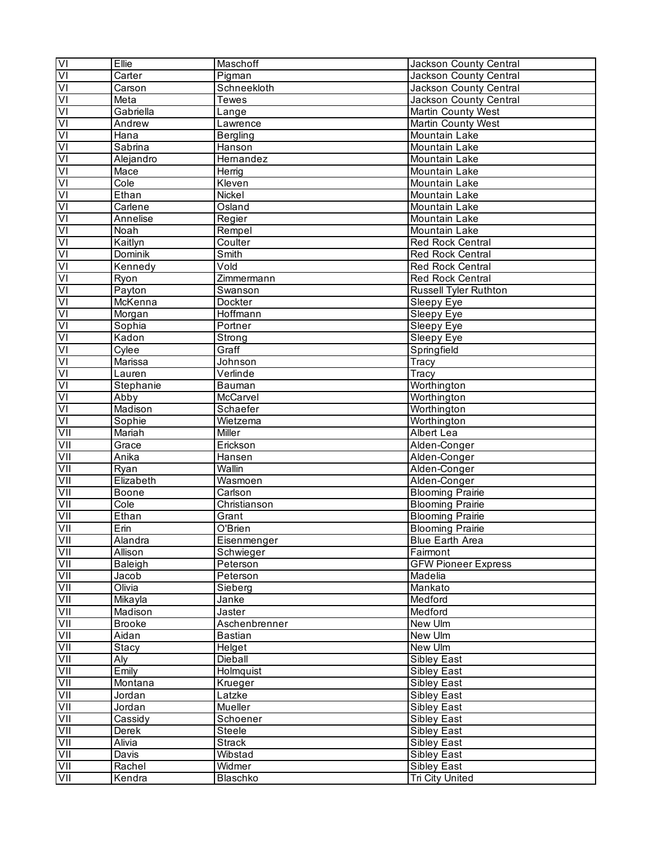| VI                      | Ellie                     | Maschoff           | Jackson County Central       |
|-------------------------|---------------------------|--------------------|------------------------------|
| $\overline{\mathsf{N}}$ | Carter                    | Pigman             | Jackson County Central       |
| $\overline{\mathsf{V}}$ | Carson                    | Schneekloth        | Jackson County Central       |
| $\overline{\mathsf{z}}$ | Meta                      | <b>Tewes</b>       | Jackson County Central       |
| $\overline{V}$          | Gabriella                 | Lange              | <b>Martin County West</b>    |
| $\overline{V}$          | Andrew                    | Lawrence           | <b>Martin County West</b>    |
| $\overline{V}$          | Hana                      | <b>Bergling</b>    | Mountain Lake                |
| $\overline{\mathsf{V}}$ | Sabrina                   | Hanson             | Mountain Lake                |
| $\overline{\mathsf{z}}$ | Alejandro                 | Hernandez          | Mountain Lake                |
| $\overline{V}$          | Mace                      | Herrig             | Mountain Lake                |
| $\overline{\mathsf{V}}$ | Cole                      | Kleven             | Mountain Lake                |
| $\overline{V}$          | Ethan                     | Nickel             | Mountain Lake                |
| $\overline{V}$          | Carlene                   | Osland             | Mountain Lake                |
| $\overline{2}$          | Annelise                  | Regier             | Mountain Lake                |
| $\overline{\mathsf{N}}$ | Noah                      | Rempel             | Mountain Lake                |
| $\overline{\mathsf{N}}$ | Kaitlyn                   | Coulter            | Red Rock Central             |
| $\overline{\mathsf{V}}$ | <b>Dominik</b>            | Smith              | <b>Red Rock Central</b>      |
| $\overline{2}$          | Kennedy                   | Vold               | <b>Red Rock Central</b>      |
| $\overline{V}$          | Ryon                      | Zimmermann         | <b>Red Rock Central</b>      |
| $\overline{\mathsf{V}}$ | Payton                    | Swanson            | <b>Russell Tyler Ruthton</b> |
| $\overline{V}$          | McKenna                   | Dockter            | Sleepy Eye                   |
| $\overline{\mathsf{V}}$ | Morgan                    | Hoffmann           | Sleepy Eye                   |
| $\overline{\mathsf{V}}$ | Sophia                    | Portner            | Sleepy Eye                   |
| $\overline{\mathsf{V}}$ | Kadon                     | Strong             | Sleepy Eye                   |
| $\overline{\mathsf{V}}$ | Cylee                     | Graff              | Springfield                  |
| $\overline{\mathsf{v}}$ | Marissa                   | Johnson            | $\overline{T}$ racy          |
| $\overline{\mathsf{V}}$ | Lauren                    | Verlinde           | Tracy                        |
| $\overline{V}$          | Stephanie                 | Bauman             | Worthington                  |
| $\overline{V}$          | Abby                      | McCarvel           | Worthington                  |
| $\overline{\mathsf{V}}$ | Madison                   | Schaefer           |                              |
| $\overline{\mathsf{V}}$ | Sophie                    | Wietzema           | Worthington<br>Worthington   |
| VII                     | Mariah                    | Miller             | Albert Lea                   |
| VII                     |                           | Erickson           | Alden-Conger                 |
|                         | Grace<br>Anika            |                    | Alden-Conger                 |
| VII<br>VII              |                           | Hansen<br>Wallin   |                              |
| VII                     | Ryan<br>Elizabeth         |                    | Alden-Conger                 |
| VII                     |                           | Wasmoen<br>Carlson | Alden-Conger                 |
|                         | Boone                     |                    | <b>Blooming Prairie</b>      |
| Ξ                       | Cole                      | Christianson       | <b>Blooming Prairie</b>      |
| VII                     | Ethan<br>$E_{\text{min}}$ | Grant              | <b>Blooming Prairie</b>      |
| VII                     |                           | O'Brien            | <b>Blooming Prairie</b>      |
| VII                     | Alandra                   | Eisenmenger        | <b>Blue Earth Area</b>       |
| Ξ                       | Allison                   | Schwieger          | Fairmont                     |
| VII<br>VII              | Baleigh                   | Peterson           | <b>GFW Pioneer Express</b>   |
|                         | Jacob                     | Peterson           | Madelia                      |
| VII                     | Olivia                    | Sieberg            | Mankato                      |
| VII                     | Mikayla                   | Janke              | Medford                      |
| <b>NI</b>               | Madison                   | Jaster             | Medford                      |
| VII                     | <b>Brooke</b>             | Aschenbrenner      | New Ulm                      |
| VII                     | Aidan                     | <b>Bastian</b>     | New Ulm                      |
| VII                     | Stacy                     | Helget             | New Ulm                      |
| VII                     | Aly                       | Dieball            | Sibley East                  |
| VII                     | Emily                     | Holmquist          | Sibley East                  |
| VII                     | Montana                   | Krueger            | Sibley East                  |
| VII                     | Jordan                    | Latzke             | Sibley East                  |
| VII                     | Jordan                    | Mueller            | Sibley East                  |
| VII                     | Cassidy                   | Schoener           | Sibley East                  |
| VII                     | Derek                     | Steele             | Sibley East                  |
| VII                     | Alivia                    | Strack             | Sibley East                  |
| VII                     | Davis                     | Wibstad            | Sibley East                  |
| VII                     | Rachel                    | Widmer             | Sibley East                  |
| VII                     | Kendra                    | <b>Blaschko</b>    | <b>Tri City United</b>       |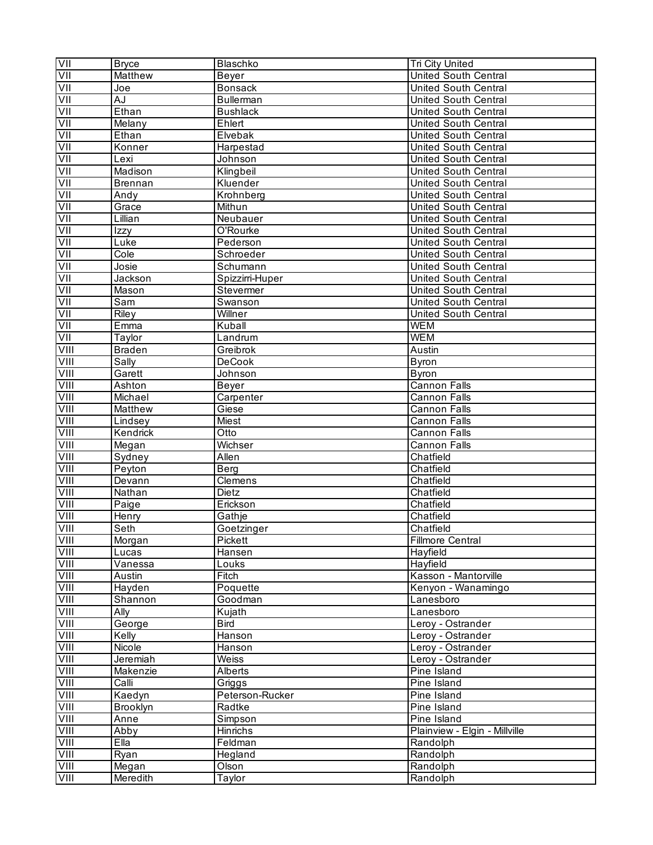| Ξ            | <b>Bryce</b>   | Blaschko            | Tri City United                 |
|--------------|----------------|---------------------|---------------------------------|
| ΙIΛ          | Matthew        | Beyer               | United South Central            |
| IIV          | Joe            | <b>Bonsack</b>      | <b>United South Central</b>     |
| Σ            | AJ             | <b>Bullerman</b>    | <b>United South Central</b>     |
| VII          | Ethan          | <b>Bushlack</b>     | <b>United South Central</b>     |
| VII          | Melany         | Ehlert              | United South Central            |
| VII          | Ethan          | Elvebak             | United South Central            |
| VII          | Konner         | Harpestad           | United South Central            |
| VII          | Lexi           | Johnson             | <b>United South Central</b>     |
| VII          | Madison        | Klingbeil           | <b>United South Central</b>     |
| VII          | <b>Brennan</b> | Kluender            | <b>United South Central</b>     |
| VII          | Andy           | Krohnberg           | <b>United South Central</b>     |
| VII          | Grace          | Mithun              | United South Central            |
| VII          | Lillian        | Neubauer            | United South Central            |
| VII          | Izzy           | O'Rourke            | United South Central            |
| VII          | Luke           | Pederson            | <b>United South Central</b>     |
| VII          | Cole           | Schroeder           | <b>United South Central</b>     |
| Ξ            | Josie          | Schumann            | <b>United South Central</b>     |
| VII          | Jackson        | Spizzirri-Huper     | <b>United South Central</b>     |
| VII          | Mason          | Stevermer           | <b>United South Central</b>     |
| VII          | Sam            | Swanson             | <b>United South Central</b>     |
| VII          | <b>Riley</b>   | Willner             | <b>United South Central</b>     |
| VII          | Emma           | Kuball              | <b>WEM</b>                      |
| VII          | Taylor         | Landrum             | <b>WEM</b>                      |
| VIII         | <b>Braden</b>  | Greibrok            | Austin                          |
| VIII         | Sally          | <b>DeCook</b>       | <b>Byron</b>                    |
| VIII         | Garett         | Johnson             | <b>Byron</b>                    |
| VIII         | Ashton         | Beyer               | <b>Cannon Falls</b>             |
| VIII         | Michael        | Carpenter           | <b>Cannon Falls</b>             |
| VIII         | Matthew        | Giese               | <b>Cannon Falls</b>             |
| VIII         | Lindsey        | Miest               | <b>Cannon Falls</b>             |
| VIII         | Kendrick       | $O$ tto             | <b>Cannon Falls</b>             |
| VIII         |                |                     | <b>Cannon Falls</b>             |
|              | Megan          | Wichser<br>Allen    | Chatfield                       |
| VIII<br>VIII | Sydney         | Berg                | Chatfield                       |
| VIII         | Peyton         | Clemens             | Chatfield                       |
| VIII         | Devann         | <b>Dietz</b>        | Chatfield                       |
|              | Nathan         |                     |                                 |
| VIII         | Paige          | Erickson            | Chatfield                       |
| VIII<br>VIII | Henry          | Gathje              | Chatfield                       |
|              | Seth           | Goetzinger          | Chatfield                       |
| VIII         | Morgan         | Pickett             | <b>Fillmore Central</b>         |
| VIII         | Lucas          | Hansen              | Hayfield                        |
| VIII         | Vanessa        | Louks               | Hayfield                        |
| VIII         | Austin         | Fitch               | Kasson - Mantorville            |
| VIII         | Hayden         | Poquette<br>Goodman | Kenyon - Wanamingo<br>Lanesboro |
| VIII         | Shannon        |                     |                                 |
| VIII         | Ally           | Kujath              | Lanesboro                       |
| VIII         | George         | <b>Bird</b>         | Leroy - Ostrander               |
| VIII         | Kelly          | Hanson              | Leroy - Ostrander               |
| VIII         | Nicole         | Hanson              | Leroy - Ostrander               |
| VIII         | Jeremiah       | Weiss               | Leroy - Ostrander               |
| VIII         | Makenzie       | Alberts             | Pine Island                     |
| VIII         | Calli          | Griggs              | Pine Island                     |
| VIII         | Kaedyn         | Peterson-Rucker     | Pine Island                     |
| VIII         | Brooklyn       | Radtke              | Pine Island                     |
| VIII         | Anne           | Simpson             | Pine Island                     |
| VIII         | Abby           | Hinrichs            | Plainview - Elgin - Millville   |
| VIII         | Ella           | Feldman             | Randolph                        |
| VIII         | Ryan           | Hegland             | Randolph                        |
| VIII         | Megan          | Olson               | Randolph                        |
| VIII         | Meredith       | Taylor              | Randolph                        |